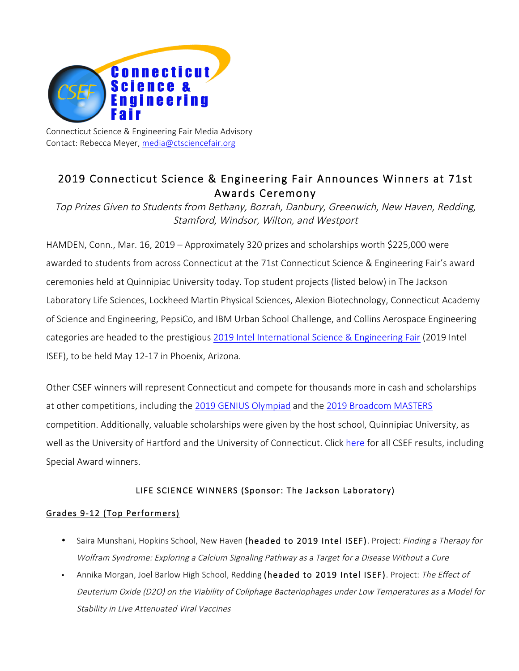

Connecticut Science & Engineering Fair Media Advisory Contact: Rebecca Meyer, media@ctsciencefair.org

# 2019 Connecticut Science & Engineering Fair Announces Winners at 71st Awards Ceremony

Top Prizes Given to Students from Bethany, Bozrah, Danbury, Greenwich, New Haven, Redding, Stamford, Windsor, Wilton, and Westport

HAMDEN, Conn., Mar. 16, 2019 – Approximately 320 prizes and scholarships worth \$225,000 were awarded to students from across Connecticut at the 71st Connecticut Science & Engineering Fair's award ceremonies held at Quinnipiac University today. Top student projects (listed below) in The Jackson Laboratory Life Sciences, Lockheed Martin Physical Sciences, Alexion Biotechnology, Connecticut Academy of Science and Engineering, PepsiCo, and IBM Urban School Challenge, and Collins Aerospace Engineering categories are headed to the prestigious 2019 Intel International Science & Engineering Fair (2019 Intel ISEF), to be held May 12-17 in Phoenix, Arizona.

Other CSEF winners will represent Connecticut and compete for thousands more in cash and scholarships at other competitions, including the 2019 GENIUS Olympiad and the 2019 Broadcom MASTERS competition. Additionally, valuable scholarships were given by the host school, Quinnipiac University, as well as the University of Hartford and the University of Connecticut. Click here for all CSEF results, including Special Award winners.

# LIFE SCIENCE WINNERS (Sponsor: The Jackson Laboratory)

### Grades 9-12 (Top Performers)

- Saira Munshani, Hopkins School, New Haven (headed to 2019 Intel ISEF). Project: Finding a Therapy for Wolfram Syndrome: Exploring a Calcium Signaling Pathway as a Target for a Disease Without a Cure
- Annika Morgan, Joel Barlow High School, Redding (headed to 2019 Intel ISEF). Project: The Effect of Deuterium Oxide (D2O) on the Viability of Coliphage Bacteriophages under Low Temperatures as a Model for Stability in Live Attenuated Viral Vaccines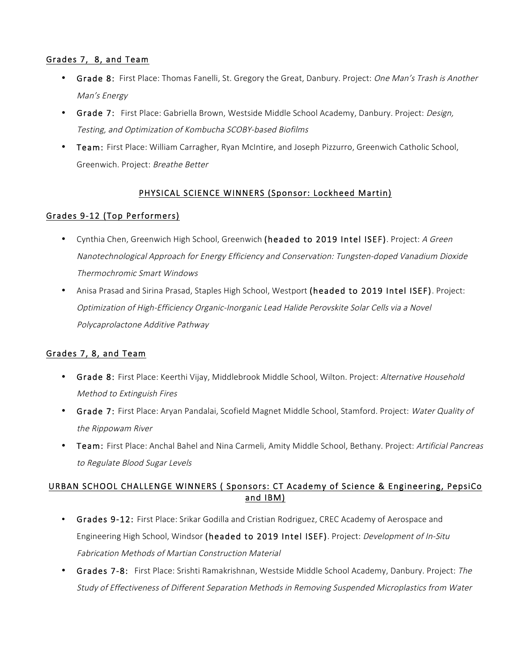### Grades 7, 8, and Team

- Grade 8: First Place: Thomas Fanelli, St. Gregory the Great, Danbury. Project: One Man's Trash is Another Man's Energy
- Grade 7: First Place: Gabriella Brown, Westside Middle School Academy, Danbury. Project: Design, Testing, and Optimization of Kombucha SCOBY-based Biofilms
- Team: First Place: William Carragher, Ryan McIntire, and Joseph Pizzurro, Greenwich Catholic School, Greenwich. Project: Breathe Better

# PHYSICAL SCIENCE WINNERS (Sponsor: Lockheed Martin)

# Grades 9-12 (Top Performers)

- Cynthia Chen, Greenwich High School, Greenwich (headed to 2019 Intel ISEF). Project: A Green Nanotechnological Approach for Energy Efficiency and Conservation: Tungsten-doped Vanadium Dioxide Thermochromic Smart Windows
- Anisa Prasad and Sirina Prasad, Staples High School, Westport (headed to 2019 Intel ISEF). Project: Optimization of High-Efficiency Organic-Inorganic Lead Halide Perovskite Solar Cells via a Novel Polycaprolactone Additive Pathway

### Grades 7, 8, and Team

- Grade 8: First Place: Keerthi Vijay, Middlebrook Middle School, Wilton. Project: Alternative Household Method to Extinguish Fires
- Grade 7: First Place: Aryan Pandalai, Scofield Magnet Middle School, Stamford. Project: Water Quality of the Rippowam River
- Team: First Place: Anchal Bahel and Nina Carmeli, Amity Middle School, Bethany. Project: Artificial Pancreas to Regulate Blood Sugar Levels

# URBAN SCHOOL CHALLENGE WINNERS ( Sponsors: CT Academy of Science & Engineering, PepsiCo and IBM)

- Grades 9-12: First Place: Srikar Godilla and Cristian Rodriguez, CREC Academy of Aerospace and Engineering High School, Windsor (headed to 2019 Intel ISEF). Project: Development of In-Situ Fabrication Methods of Martian Construction Material
- Grades 7-8: First Place: Srishti Ramakrishnan, Westside Middle School Academy, Danbury. Project: The Study of Effectiveness of Different Separation Methods in Removing Suspended Microplastics from Water